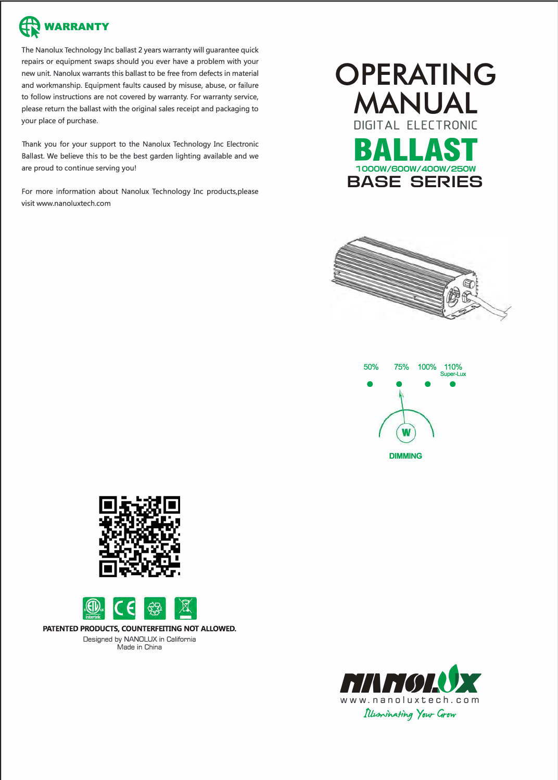

The Nanolux Technology Inc ballast 2 years warranty will guarantee quick repairs or equipment swaps should you ever have a problem with your new unit. Nanolux warrants this ballast to be free from defects in material and workmanship. Equipment faults caused by misuse, abuse, or failure to follow instructions are not covered by warranty. For warranty service, please return the ballast with the original sales receipt and packaging to your place of purchase.

Thank you for your support to the Nanolux Technology Inc Electronic Ballast. We believe this to be the best garden lighting available and we are proud to continue serving you!

For more information about Nanolux Technology Inc products,please visit www.nanoluxtech.com











**PATENTED PRODUCTS, COUNTERFEITING NOT ALLOWED.**  Designed by NANOLUX in California Made in China